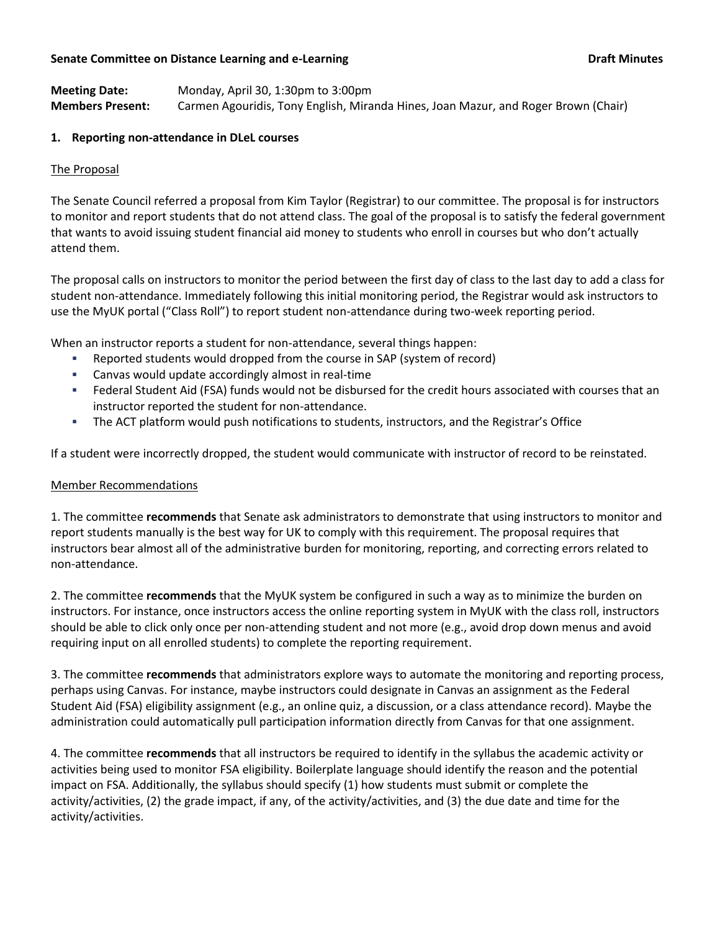### **Senate Committee on Distance Learning and e-Learning dramage of the Committee on Draft Minutes**

**Meeting Date:** Monday, April 30, 1:30pm to 3:00pm **Members Present:** Carmen Agouridis, Tony English, Miranda Hines, Joan Mazur, and Roger Brown (Chair)

## **1. Reporting non-attendance in DLeL courses**

## The Proposal

The Senate Council referred a proposal from Kim Taylor (Registrar) to our committee. The proposal is for instructors to monitor and report students that do not attend class. The goal of the proposal is to satisfy the federal government that wants to avoid issuing student financial aid money to students who enroll in courses but who don't actually attend them.

The proposal calls on instructors to monitor the period between the first day of class to the last day to add a class for student non-attendance. Immediately following this initial monitoring period, the Registrar would ask instructors to use the MyUK portal ("Class Roll") to report student non-attendance during two-week reporting period.

When an instructor reports a student for non-attendance, several things happen:

- Reported students would dropped from the course in SAP (system of record)
- Canvas would update accordingly almost in real-time
- Federal Student Aid (FSA) funds would not be disbursed for the credit hours associated with courses that an instructor reported the student for non-attendance.
- The ACT platform would push notifications to students, instructors, and the Registrar's Office

If a student were incorrectly dropped, the student would communicate with instructor of record to be reinstated.

### Member Recommendations

1. The committee **recommends** that Senate ask administrators to demonstrate that using instructors to monitor and report students manually is the best way for UK to comply with this requirement. The proposal requires that instructors bear almost all of the administrative burden for monitoring, reporting, and correcting errors related to non-attendance.

2. The committee **recommends** that the MyUK system be configured in such a way as to minimize the burden on instructors. For instance, once instructors access the online reporting system in MyUK with the class roll, instructors should be able to click only once per non-attending student and not more (e.g., avoid drop down menus and avoid requiring input on all enrolled students) to complete the reporting requirement.

3. The committee **recommends** that administrators explore ways to automate the monitoring and reporting process, perhaps using Canvas. For instance, maybe instructors could designate in Canvas an assignment as the Federal Student Aid (FSA) eligibility assignment (e.g., an online quiz, a discussion, or a class attendance record). Maybe the administration could automatically pull participation information directly from Canvas for that one assignment.

4. The committee **recommends** that all instructors be required to identify in the syllabus the academic activity or activities being used to monitor FSA eligibility. Boilerplate language should identify the reason and the potential impact on FSA. Additionally, the syllabus should specify (1) how students must submit or complete the activity/activities, (2) the grade impact, if any, of the activity/activities, and (3) the due date and time for the activity/activities.